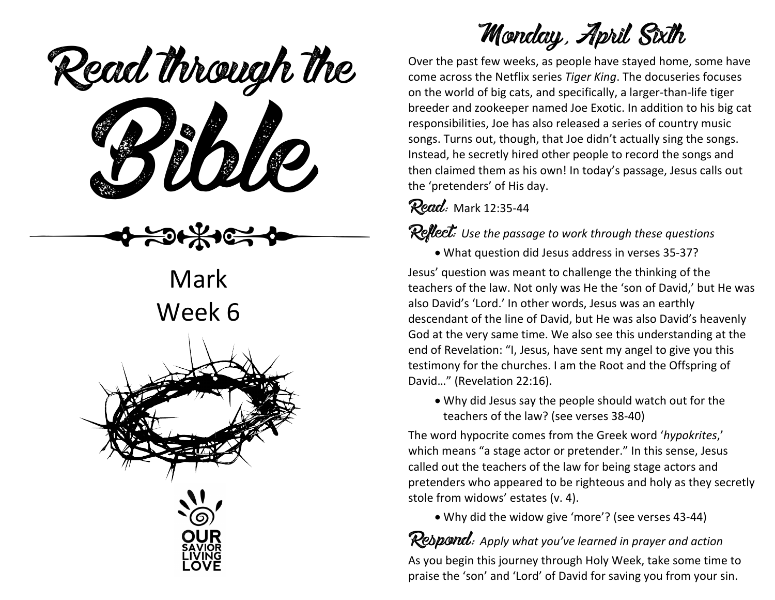Read through the



Mark Week 6



# Monday, April Sixth

Over the past few weeks, as people have stayed home, some have come across the Netflix series *Tiger King*. The docuseries focuses on the world of big cats, and specifically, a larger-than-life tiger breeder and zookeeper named Joe Exotic. In addition to his big cat responsibilities, Joe has also released a series of country music songs. Turns out, though, that Joe didn't actually sing the songs. Instead, he secretly hired other people to record the songs and then claimed them as his own! In today's passage, Jesus calls out the 'pretenders' of His day.

### **Read:** Mark 12:35-44

### Reflect: *Use the passage to work through these questions*

• What question did Jesus address in verses 35-37?

Jesus' question was meant to challenge the thinking of the teachers of the law. Not only was He the 'son of David,' but He was also David's 'Lord.' In other words, Jesus was an earthly descendant of the line of David, but He was also David's heavenly God at the very same time. We also see this understanding at the end of Revelation: "I, Jesus, have sent my angel to give you this testimony for the churches. I am the Root and the Offspring of David…" (Revelation 22:16).

• Why did Jesus say the people should watch out for the teachers of the law? (see verses 38-40)

The word hypocrite comes from the Greek word '*hypokrites*,' which means "a stage actor or pretender." In this sense, Jesus called out the teachers of the law for being stage actors and pretenders who appeared to be righteous and holy as they secretly stole from widows' estates (v. 4).

• Why did the widow give 'more'? (see verses 43-44)

Respond: *Apply what you've learned in prayer and action* As you begin this journey through Holy Week, take some time to praise the 'son' and 'Lord' of David for saving you from your sin.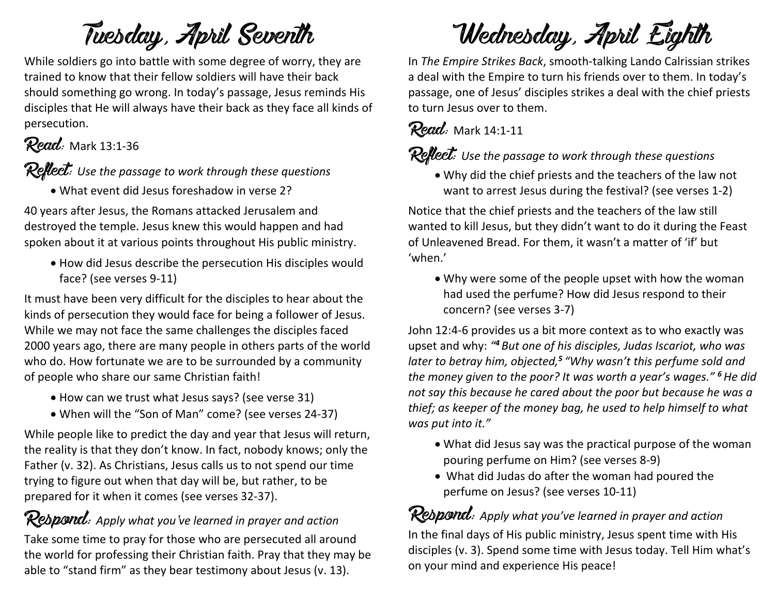# Tuesday, April Seventh

While soldiers go into battle with some degree of worry, they are trained to know that their fellow soldiers will have their back should something go wrong. In today's passage, Jesus reminds His disciples that He will always have their back as they face all kinds of persecution.

### Read: Mark 13:1-36

Reflect: *Use the passage to work through these questions*

• What event did Jesus foreshadow in verse 2?

40 years after Jesus, the Romans attacked Jerusalem and destroyed the temple. Jesus knew this would happen and had spoken about it at various points throughout His public ministry.

• How did Jesus describe the persecution His disciples would face? (see verses 9-11)

It must have been very difficult for the disciples to hear about the kinds of persecution they would face for being a follower of Jesus. While we may not face the same challenges the disciples faced 2000 years ago, there are many people in others parts of the world who do. How fortunate we are to be surrounded by a community of people who share our same Christian faith!

- How can we trust what Jesus says? (see verse 31)
- When will the "Son of Man" come? (see verses 24-37)

While people like to predict the day and year that Jesus will return, the reality is that they don't know. In fact, nobody knows; only the Father (v. 32). As Christians, Jesus calls us to not spend our time trying to figure out when that day will be, but rather, to be prepared for it when it comes (see verses 32-37).

# Respond: *Apply what you've learned in prayer and action*

Take some time to pray for those who are persecuted all around the world for professing their Christian faith. Pray that they may be able to "stand firm" as they bear testimony about Jesus (v. 13).

# Wednesday, April Eighth

In *The Empire Strikes Back*, smooth-talking Lando Calrissian strikes a deal with the Empire to turn his friends over to them. In today's passage, one of Jesus' disciples strikes a deal with the chief priests to turn Jesus over to them.

### Read: Mark 14:1-11

### Reflect: Use the passage to work through these questions

• Why did the chief priests and the teachers of the law not want to arrest Jesus during the festival? (see verses 1-2)

Notice that the chief priests and the teachers of the law still wanted to kill Jesus, but they didn't want to do it during the Feast of Unleavened Bread. For them, it wasn't a matter of 'if' but 'when.'

• Why were some of the people upset with how the woman had used the perfume? How did Jesus respond to their concern? (see verses 3-7)

John 12:4-6 provides us a bit more context as to who exactly was upset and why: *"<sup>4</sup> But one of his disciples, Judas Iscariot, who was later to betray him, objected,<sup>5</sup> "Why wasn't this perfume sold and the money given to the poor? It was worth a year's wages." <sup>6</sup>He did not say this because he cared about the poor but because he was a thief; as keeper of the money bag, he used to help himself to what was put into it."*

- What did Jesus say was the practical purpose of the woman pouring perfume on Him? (see verses 8-9)
- What did Judas do after the woman had poured the perfume on Jesus? (see verses 10-11)

Respond: *Apply what you've learned in prayer and action* In the final days of His public ministry, Jesus spent time with His disciples (v. 3). Spend some time with Jesus today. Tell Him what's on your mind and experience His peace!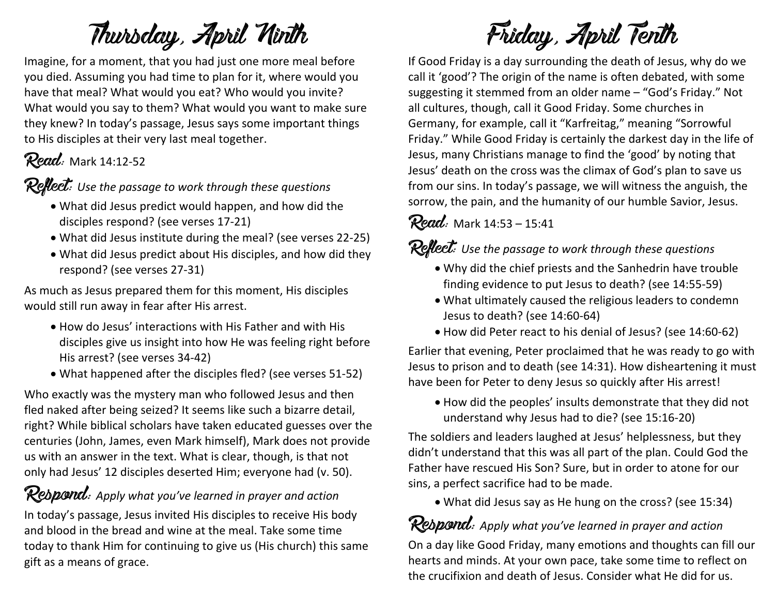# Thursday, April Ninth

Imagine, for a moment, that you had just one more meal before you died. Assuming you had time to plan for it, where would you have that meal? What would you eat? Who would you invite? What would you say to them? What would you want to make sure they knew? In today's passage, Jesus says some important things to His disciples at their very last meal together.

# **Read:** Mark 14:12-52

Reflect: *Use the passage to work through these questions*

- What did Jesus predict would happen, and how did the disciples respond? (see verses 17-21)
- What did Jesus institute during the meal? (see verses 22-25)
- What did Jesus predict about His disciples, and how did they respond? (see verses 27-31)

As much as Jesus prepared them for this moment, His disciples would still run away in fear after His arrest.

- How do Jesus' interactions with His Father and with His disciples give us insight into how He was feeling right before His arrest? (see verses 34-42)
- What happened after the disciples fled? (see verses 51-52)

Who exactly was the mystery man who followed Jesus and then fled naked after being seized? It seems like such a bizarre detail, right? While biblical scholars have taken educated guesses over the centuries (John, James, even Mark himself), Mark does not provide us with an answer in the text. What is clear, though, is that not only had Jesus' 12 disciples deserted Him; everyone had (v. 50).

### Respond: Apply what you've learned in prayer and action

In today's passage, Jesus invited His disciples to receive His body and blood in the bread and wine at the meal. Take some time today to thank Him for continuing to give us (His church) this same gift as a means of grace.

# Friday, April Tenth

If Good Friday is a day surrounding the death of Jesus, why do we call it 'good'? The origin of the name is often debated, with some suggesting it stemmed from an older name – "God's Friday." Not all cultures, though, call it Good Friday. Some churches in Germany, for example, call it "Karfreitag," meaning "Sorrowful Friday." While Good Friday is certainly the darkest day in the life of Jesus, many Christians manage to find the 'good' by noting that Jesus' death on the cross was the climax of God's plan to save us from our sins. In today's passage, we will witness the anguish, the sorrow, the pain, and the humanity of our humble Savior, Jesus.

### **Read:** Mark  $14:53 - 15:41$

Reflect: *Use the passage to work through these questions*

- Why did the chief priests and the Sanhedrin have trouble finding evidence to put Jesus to death? (see 14:55-59)
- What ultimately caused the religious leaders to condemn Jesus to death? (see 14:60-64)
- How did Peter react to his denial of Jesus? (see 14:60-62)

Earlier that evening, Peter proclaimed that he was ready to go with Jesus to prison and to death (see 14:31). How disheartening it must have been for Peter to deny Jesus so quickly after His arrest!

• How did the peoples' insults demonstrate that they did not understand why Jesus had to die? (see 15:16-20)

The soldiers and leaders laughed at Jesus' helplessness, but they didn't understand that this was all part of the plan. Could God the Father have rescued His Son? Sure, but in order to atone for our sins, a perfect sacrifice had to be made.

• What did Jesus say as He hung on the cross? (see 15:34)

Respond: *Apply what you've learned in prayer and action* On a day like Good Friday, many emotions and thoughts can fill our hearts and minds. At your own pace, take some time to reflect on the crucifixion and death of Jesus. Consider what He did for us.